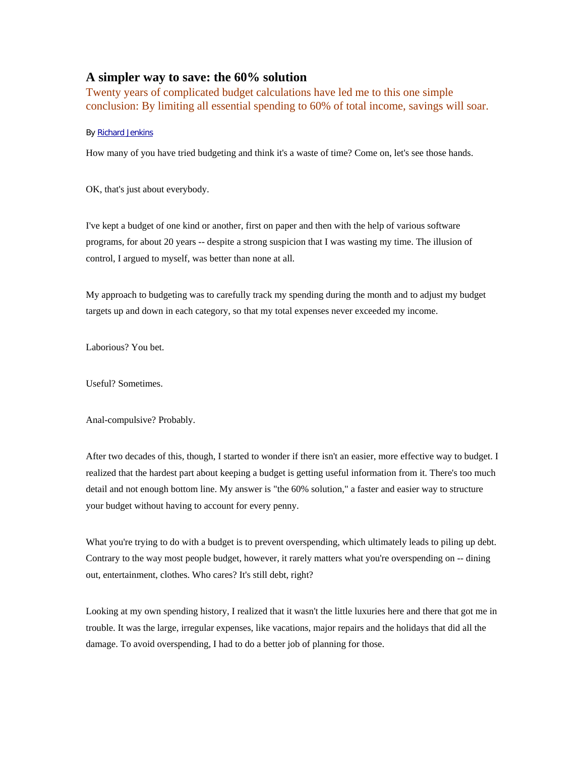# **A simpler way to save: the 60% solution**

Twenty years of complicated budget calculations have led me to this one simple conclusion: By limiting all essential spending to 60% of total income, savings will soar.

### By Richard Jenkins

How many of you have tried budgeting and think it's a waste of time? Come on, let's see those hands.

OK, that's just about everybody.

I've kept a budget of one kind or another, first on paper and then with the help of various software programs, for about 20 years -- despite a strong suspicion that I was wasting my time. The illusion of control, I argued to myself, was better than none at all.

My approach to budgeting was to carefully track my spending during the month and to adjust my budget targets up and down in each category, so that my total expenses never exceeded my income.

Laborious? You bet.

Useful? Sometimes.

Anal-compulsive? Probably.

After two decades of this, though, I started to wonder if there isn't an easier, more effective way to budget. I realized that the hardest part about keeping a budget is getting useful information from it. There's too much detail and not enough bottom line. My answer is "the 60% solution," a faster and easier way to structure your budget without having to account for every penny.

What you're trying to do with a budget is to prevent overspending, which ultimately leads to piling up debt. Contrary to the way most people budget, however, it rarely matters what you're overspending on -- dining out, entertainment, clothes. Who cares? It's still debt, right?

Looking at my own spending history, I realized that it wasn't the little luxuries here and there that got me in trouble. It was the large, irregular expenses, like vacations, major repairs and the holidays that did all the damage. To avoid overspending, I had to do a better job of planning for those.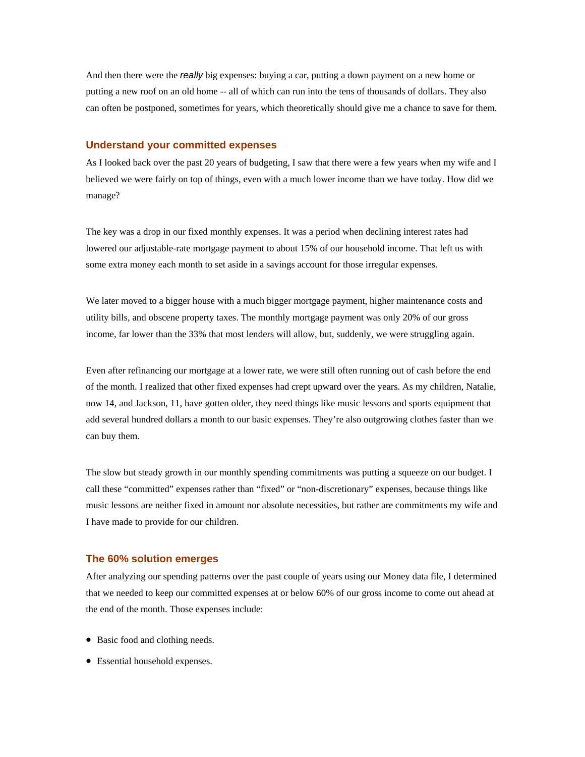And then there were the *really* big expenses: buying a car, putting a down payment on a new home or putting a new roof on an old home -- all of which can run into the tens of thousands of dollars. They also can often be postponed, sometimes for years, which theoretically should give me a chance to save for them.

### **Understand your committed expenses**

As I looked back over the past 20 years of budgeting, I saw that there were a few years when my wife and I believed we were fairly on top of things, even with a much lower income than we have today. How did we manage?

The key was a drop in our fixed monthly expenses. It was a period when declining interest rates had lowered our adjustable-rate mortgage payment to about 15% of our household income. That left us with some extra money each month to set aside in a savings account for those irregular expenses.

We later moved to a bigger house with a much bigger mortgage payment, higher maintenance costs and utility bills, and obscene property taxes. The monthly mortgage payment was only 20% of our gross income, far lower than the 33% that most lenders will allow, but, suddenly, we were struggling again.

Even after refinancing our mortgage at a lower rate, we were still often running out of cash before the end of the month. I realized that other fixed expenses had crept upward over the years. As my children, Natalie, now 14, and Jackson, 11, have gotten older, they need things like music lessons and sports equipment that add several hundred dollars a month to our basic expenses. They're also outgrowing clothes faster than we can buy them.

The slow but steady growth in our monthly spending commitments was putting a squeeze on our budget. I call these "committed" expenses rather than "fixed" or "non-discretionary" expenses, because things like music lessons are neither fixed in amount nor absolute necessities, but rather are commitments my wife and I have made to provide for our children.

#### **The 60% solution emerges**

After analyzing our spending patterns over the past couple of years using our Money data file, I determined that we needed to keep our committed expenses at or below 60% of our gross income to come out ahead at the end of the month. Those expenses include:

- Basic food and clothing needs.
- Essential household expenses.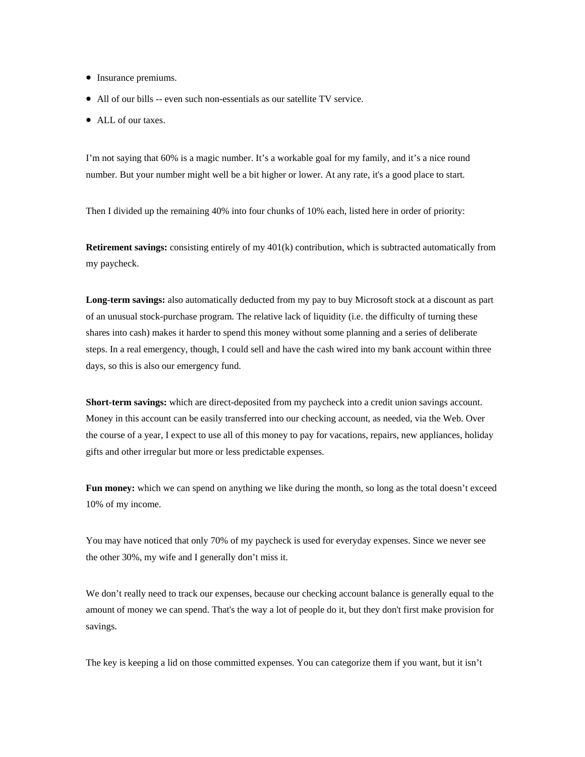- Insurance premiums.
- All of our bills -- even such non-essentials as our satellite TV service.
- ALL of our taxes.

I'm not saying that 60% is a magic number. It's a workable goal for my family, and it's a nice round number. But your number might well be a bit higher or lower. At any rate, it's a good place to start.

Then I divided up the remaining 40% into four chunks of 10% each, listed here in order of priority:

**Retirement savings:** consisting entirely of my 401(k) contribution, which is subtracted automatically from my paycheck.

**Long-term savings:** also automatically deducted from my pay to buy Microsoft stock at a discount as part of an unusual stock-purchase program. The relative lack of liquidity (i.e. the difficulty of turning these shares into cash) makes it harder to spend this money without some planning and a series of deliberate steps. In a real emergency, though, I could sell and have the cash wired into my bank account within three days, so this is also our emergency fund.

**Short-term savings:** which are direct-deposited from my paycheck into a credit union savings account. Money in this account can be easily transferred into our checking account, as needed, via the Web. Over the course of a year, I expect to use all of this money to pay for vacations, repairs, new appliances, holiday gifts and other irregular but more or less predictable expenses.

Fun money: which we can spend on anything we like during the month, so long as the total doesn't exceed 10% of my income.

You may have noticed that only 70% of my paycheck is used for everyday expenses. Since we never see the other 30%, my wife and I generally don't miss it.

We don't really need to track our expenses, because our checking account balance is generally equal to the amount of money we can spend. That's the way a lot of people do it, but they don't first make provision for savings.

The key is keeping a lid on those committed expenses. You can categorize them if you want, but it isn't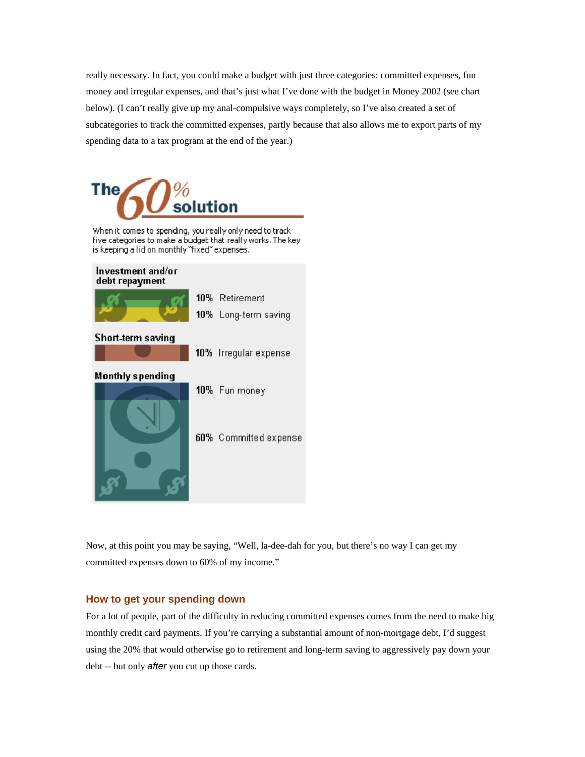really necessary. In fact, you could make a budget with just three categories: committed expenses, fun money and irregular expenses, and that's just what I've done with the budget in Money 2002 (see chart below). (I can't really give up my anal-compulsive ways completely, so I've also created a set of subcategories to track the committed expenses, partly because that also allows me to export parts of my spending data to a tax program at the end of the year.)



When it comes to spending, you really only need to track five categories to make a budget that really works. The key is keeping a lid on monthly "fixed" expenses.



Now, at this point you may be saying, "Well, la-dee-dah for you, but there's no way I can get my committed expenses down to 60% of my income."

## **How to get your spending down**

For a lot of people, part of the difficulty in reducing committed expenses comes from the need to make big monthly credit card payments. If you're carrying a substantial amount of non-mortgage debt, I'd suggest using the 20% that would otherwise go to retirement and long-term saving to aggressively pay down your debt -- but only *after* you cut up those cards.